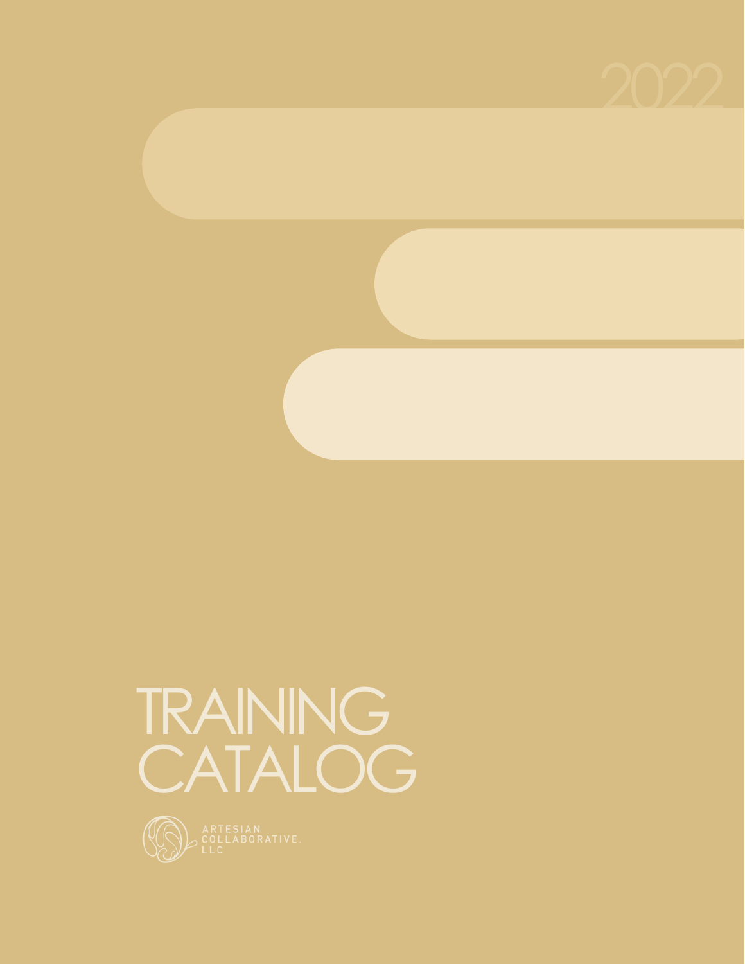



# TRAINING CATALOG

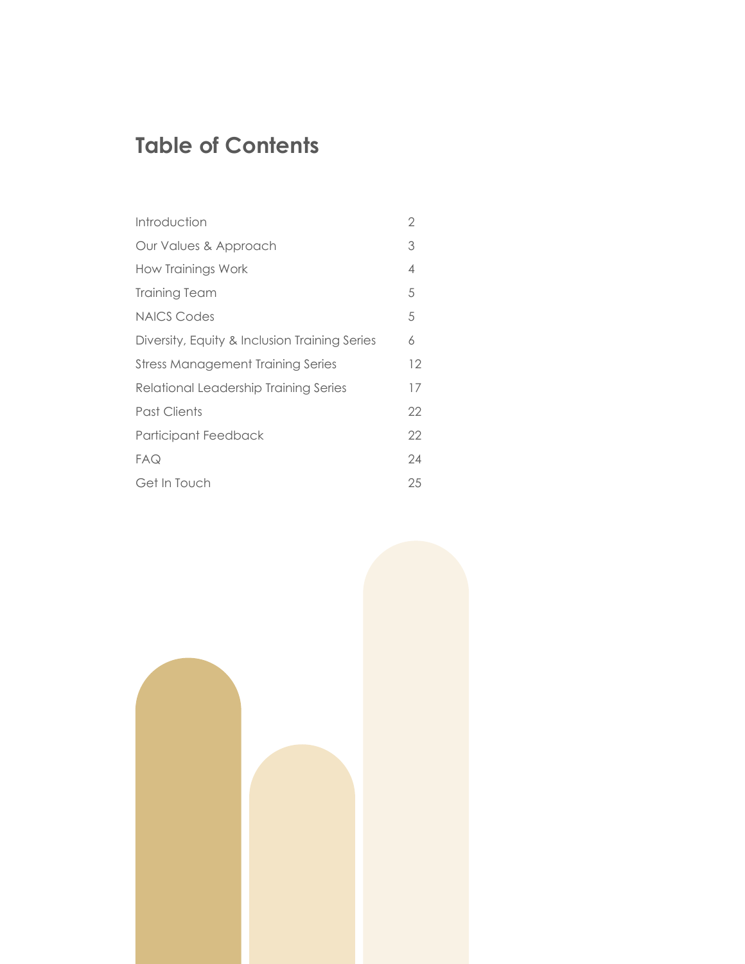### **Table of Contents**

| Introduction                                  | 2  |
|-----------------------------------------------|----|
| Our Values & Approach                         | 3  |
| How Trainings Work                            | 4  |
| <b>Training Team</b>                          | 5  |
| <b>NAICS Codes</b>                            | 5  |
| Diversity, Equity & Inclusion Training Series | 6  |
| <b>Stress Management Training Series</b>      | 12 |
| Relational Leadership Training Series         | 17 |
| Past Clients                                  | 22 |
| Participant Feedback                          | 22 |
| FAQ                                           | 24 |
| Get In Touch                                  | 25 |

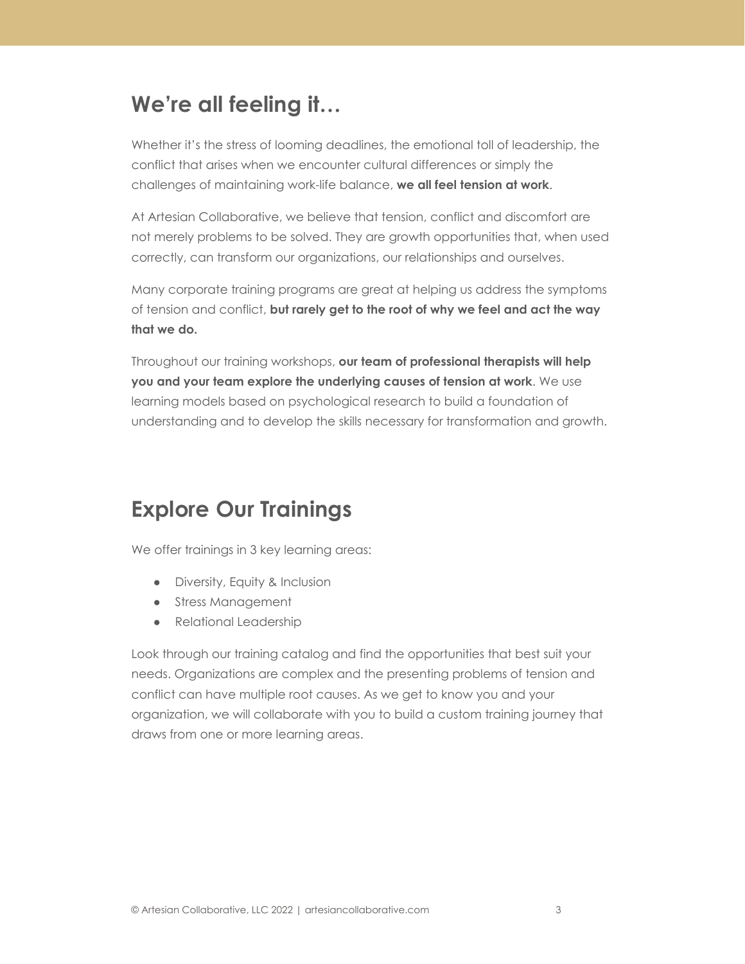### **We're all feeling it…**

Whether it's the stress of looming deadlines, the emotional toll of leadership, the conflict that arises when we encounter cultural differences or simply the challenges of maintaining work-life balance, **we all feel tension at work**.

At Artesian Collaborative, we believe that tension, conflict and discomfort are not merely problems to be solved. They are growth opportunities that, when used correctly, can transform our organizations, our relationships and ourselves.

Many corporate training programs are great at helping us address the symptoms of tension and conflict, **but rarely get to the root of why we feel and act the way that we do.**

Throughout our training workshops, **our team of professional therapists will help you and your team explore the underlying causes of tension at work**. We use learning models based on psychological research to build a foundation of understanding and to develop the skills necessary for transformation and growth.

### **Explore Our Trainings**

We offer trainings in 3 key learning areas:

- Diversity, Equity & Inclusion
- Stress Management
- Relational Leadership

Look through our training catalog and find the opportunities that best suit your needs. Organizations are complex and the presenting problems of tension and conflict can have multiple root causes. As we get to know you and your organization, we will collaborate with you to build a custom training journey that draws from one or more learning areas.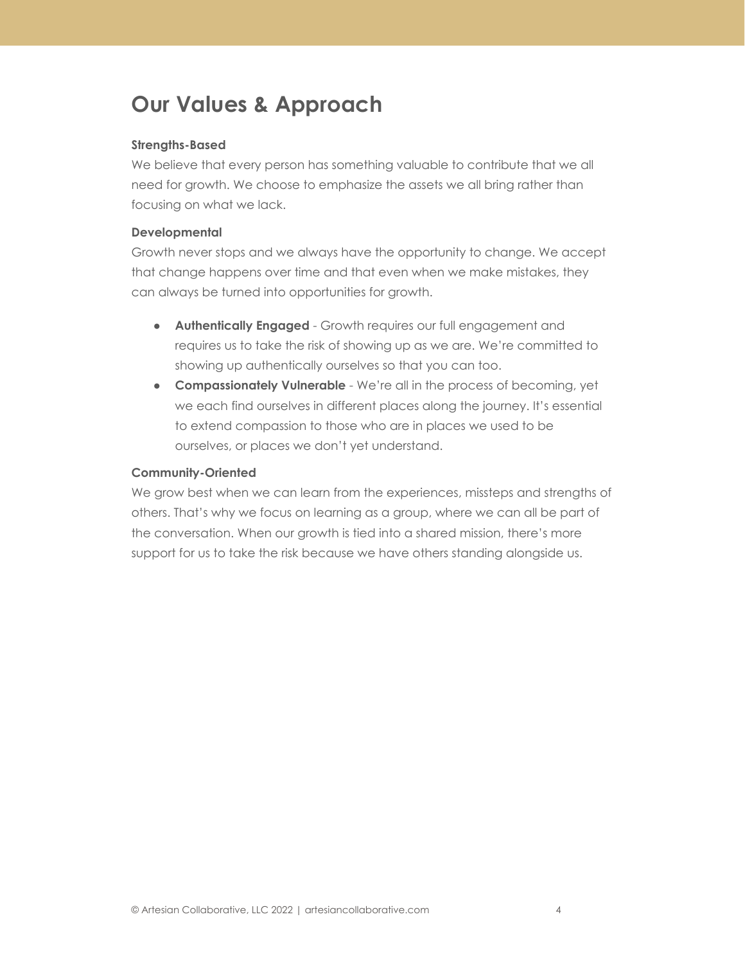### **Our Values & Approach**

#### **Strengths-Based**

We believe that every person has something valuable to contribute that we all need for growth. We choose to emphasize the assets we all bring rather than focusing on what we lack.

#### **Developmental**

Growth never stops and we always have the opportunity to change. We accept that change happens over time and that even when we make mistakes, they can always be turned into opportunities for growth.

- **Authentically Engaged** Growth requires our full engagement and requires us to take the risk of showing up as we are. We're committed to showing up authentically ourselves so that you can too.
- **Compassionately Vulnerable** We're all in the process of becoming, yet we each find ourselves in different places along the journey. It's essential to extend compassion to those who are in places we used to be ourselves, or places we don't yet understand.

#### **Community-Oriented**

We grow best when we can learn from the experiences, missteps and strengths of others. That's why we focus on learning as a group, where we can all be part of the conversation. When our growth is tied into a shared mission, there's more support for us to take the risk because we have others standing alongside us.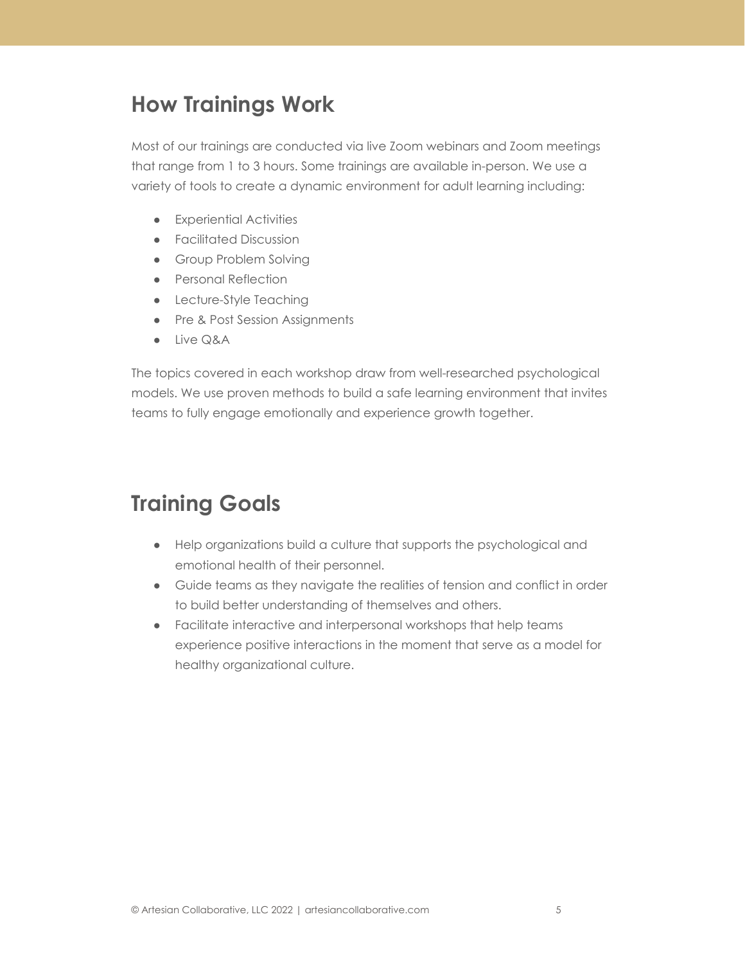### <span id="page-4-0"></span>**How Trainings Work**

Most of our trainings are conducted via live Zoom webinars and Zoom meetings that range from 1 to 3 hours. Some trainings are available in-person. We use a variety of tools to create a dynamic environment for adult learning including:

- Experiential Activities
- Facilitated Discussion
- Group Problem Solving
- Personal Reflection
- Lecture-Style Teaching
- Pre & Post Session Assignments
- Live Q&A

The topics covered in each workshop draw from well-researched psychological models. We use proven methods to build a safe learning environment that invites teams to fully engage emotionally and experience growth together.

### **Training Goals**

- Help organizations build a culture that supports the psychological and emotional health of their personnel.
- Guide teams as they navigate the realities of tension and conflict in order to build better understanding of themselves and others.
- Facilitate interactive and interpersonal workshops that help teams experience positive interactions in the moment that serve as a model for healthy organizational culture.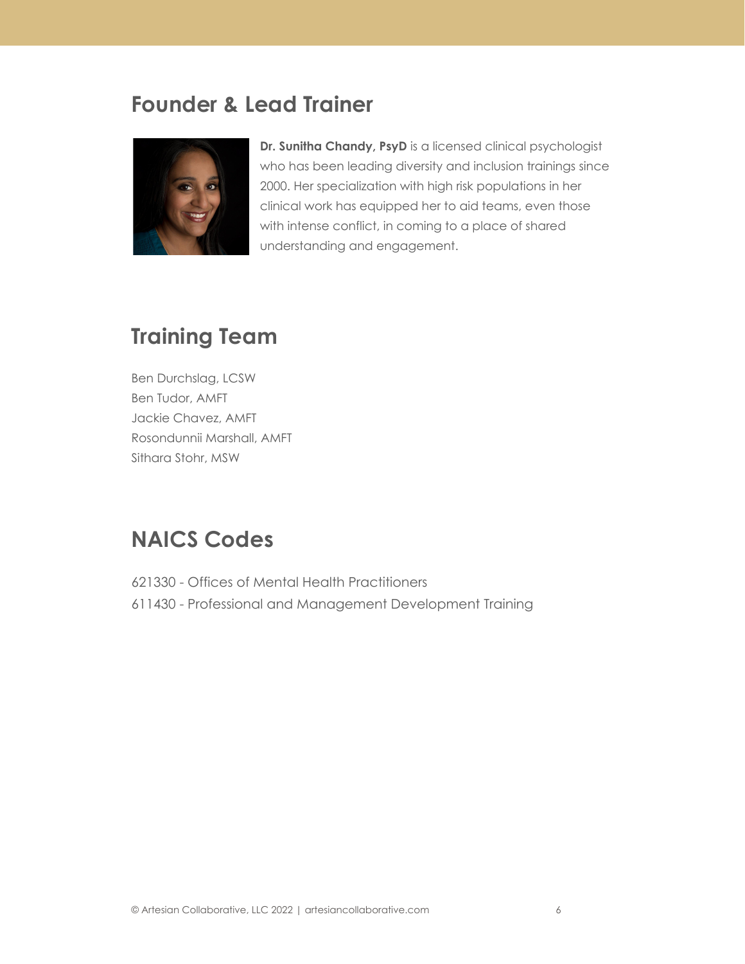### **Founder & Lead Trainer**



**Dr. Sunitha Chandy, PsyD** is a licensed clinical psychologist who has been leading diversity and inclusion trainings since 2000. Her specialization with high risk populations in her clinical work has equipped her to aid teams, even those with intense conflict, in coming to a place of shared understanding and engagement.

### **Training Team**

Ben Durchslag, LCSW Ben Tudor, AMFT Jackie Chavez, AMFT Rosondunnii Marshall, AMFT Sithara Stohr, MSW

### <span id="page-5-0"></span>**NAICS Codes**

621330 - Offices of Mental Health Practitioners 611430 - Professional and Management Development Training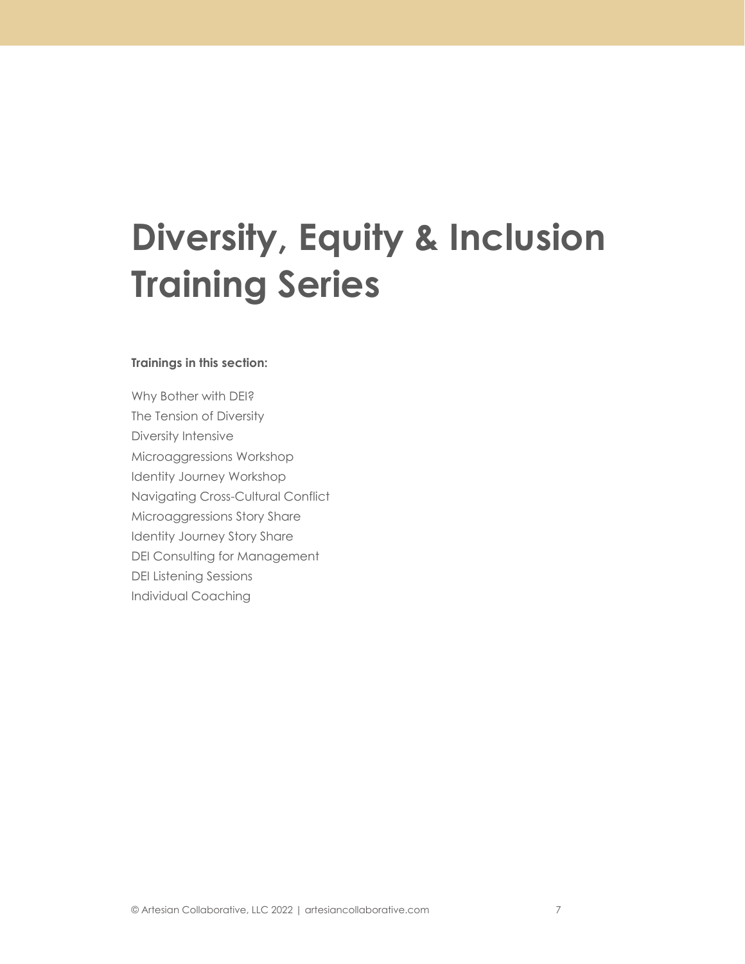## **Diversity, Equity & Inclusion Training Series**

#### **Trainings in this section:**

Why Bother with DEI? The Tension of Diversity Diversity Intensive Microaggressions Workshop Identity Journey Workshop Navigating Cross-Cultural Conflict Microaggressions Story Share Identity Journey Story Share DEI Consulting for Management DEI Listening Sessions Individual Coaching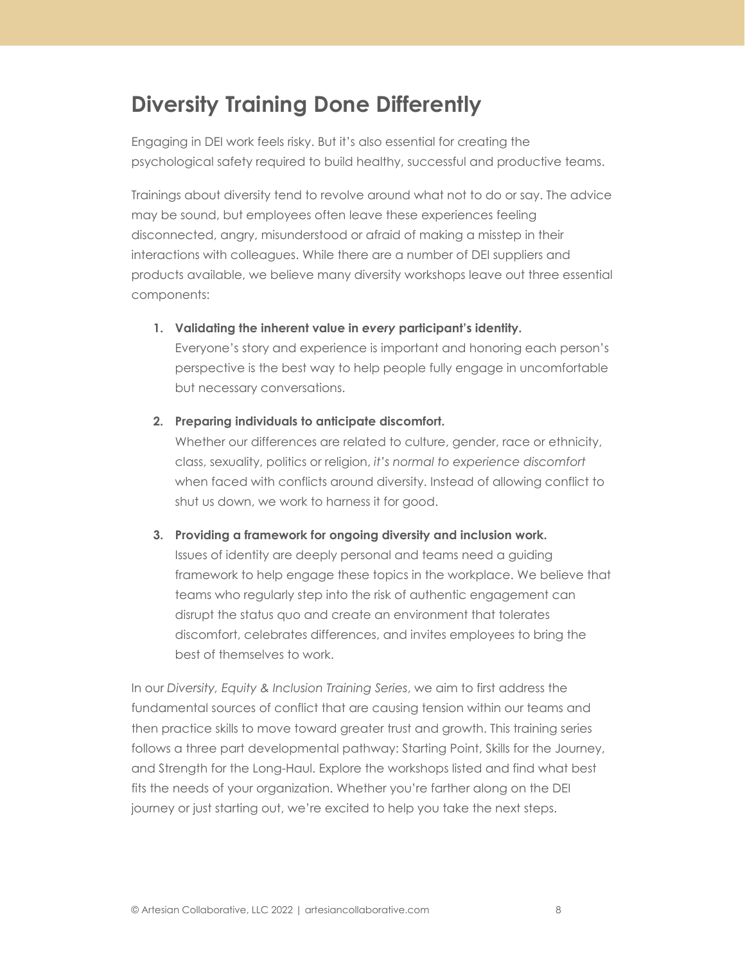### **Diversity Training Done Differently**

Engaging in DEI work feels risky. But it's also essential for creating the psychological safety required to build healthy, successful and productive teams.

Trainings about diversity tend to revolve around what not to do or say. The advice may be sound, but employees often leave these experiences feeling disconnected, angry, misunderstood or afraid of making a misstep in their interactions with colleagues. While there are a number of DEI suppliers and products available, we believe many diversity workshops leave out three essential components:

**1. Validating the inherent value in** *every* **participant's identity.**

Everyone's story and experience is important and honoring each person's perspective is the best way to help people fully engage in uncomfortable but necessary conversations.

**2. Preparing individuals to anticipate discomfort.**

Whether our differences are related to culture, gender, race or ethnicity, class, sexuality, politics or religion, *it's normal to experience discomfort* when faced with conflicts around diversity. Instead of allowing conflict to shut us down, we work to harness it for good.

**3. Providing a framework for ongoing diversity and inclusion work.**

Issues of identity are deeply personal and teams need a guiding framework to help engage these topics in the workplace. We believe that teams who regularly step into the risk of authentic engagement can disrupt the status quo and create an environment that tolerates discomfort, celebrates differences, and invites employees to bring the best of themselves to work.

In our *Diversity, Equity & Inclusion Training Series*, we aim to first address the fundamental sources of conflict that are causing tension within our teams and then practice skills to move toward greater trust and growth. This training series follows a three part developmental pathway: Starting Point, Skills for the Journey, and Strength for the Long-Haul. Explore the workshops listed and find what best fits the needs of your organization. Whether you're farther along on the DEI journey or just starting out, we're excited to help you take the next steps.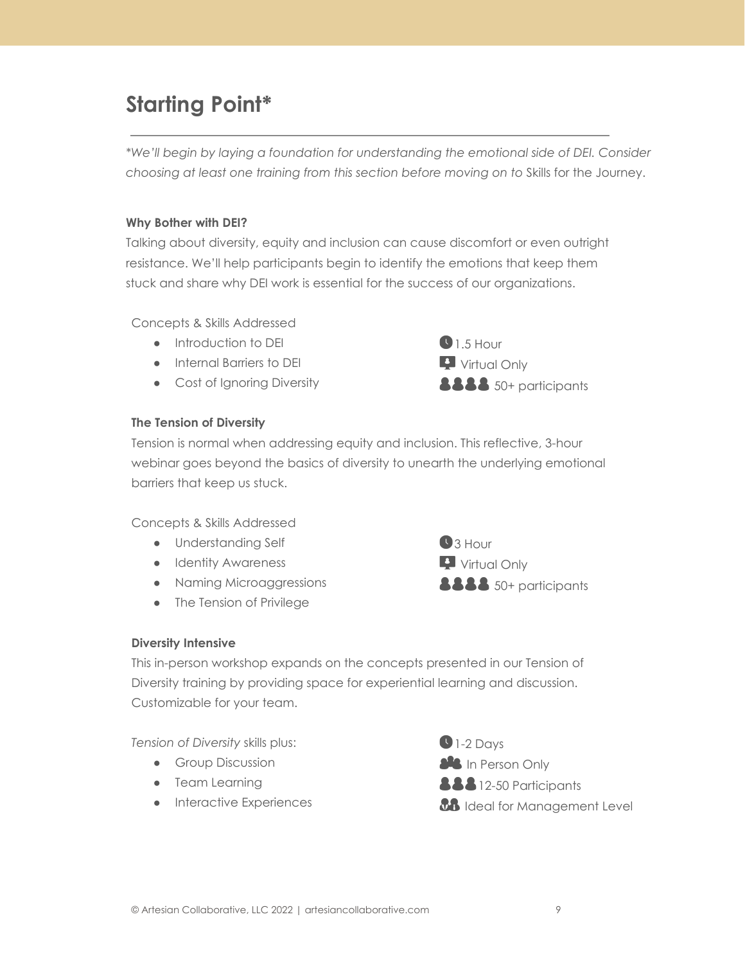### **Starting Point\***

*\*We'll begin by laying a foundation for understanding the emotional side of DEI. Consider choosing at least one training from this section before moving on to* Skills for the Journey.

#### **Why Bother with DEI?**

Talking about diversity, equity and inclusion can cause discomfort or even outright resistance. We'll help participants begin to identify the emotions that keep them stuck and share why DEI work is essential for the success of our organizations.

Concepts & Skills Addressed

- Introduction to DEI
- Internal Barriers to DEI
- Cost of Ignoring Diversity



#### **The Tension of Diversity**

Tension is normal when addressing equity and inclusion. This reflective, 3-hour webinar goes beyond the basics of diversity to unearth the underlying emotional barriers that keep us stuck.

Concepts & Skills Addressed

- Understanding Self
- **•** Identity Awareness
- Naming Microaggressions
- The Tension of Privilege



#### **Diversity Intensive**

This in-person workshop expands on the concepts presented in our Tension of Diversity training by providing space for experiential learning and discussion. Customizable for your team.

*Tension of Diversity* skills plus:

- **•** Group Discussion
- Team Learning
- **•** Interactive Experiences

 $\bigcirc$  1-2 Days *SAS* In Person Only **888** 12-50 Participants *BB* Ideal for Management Level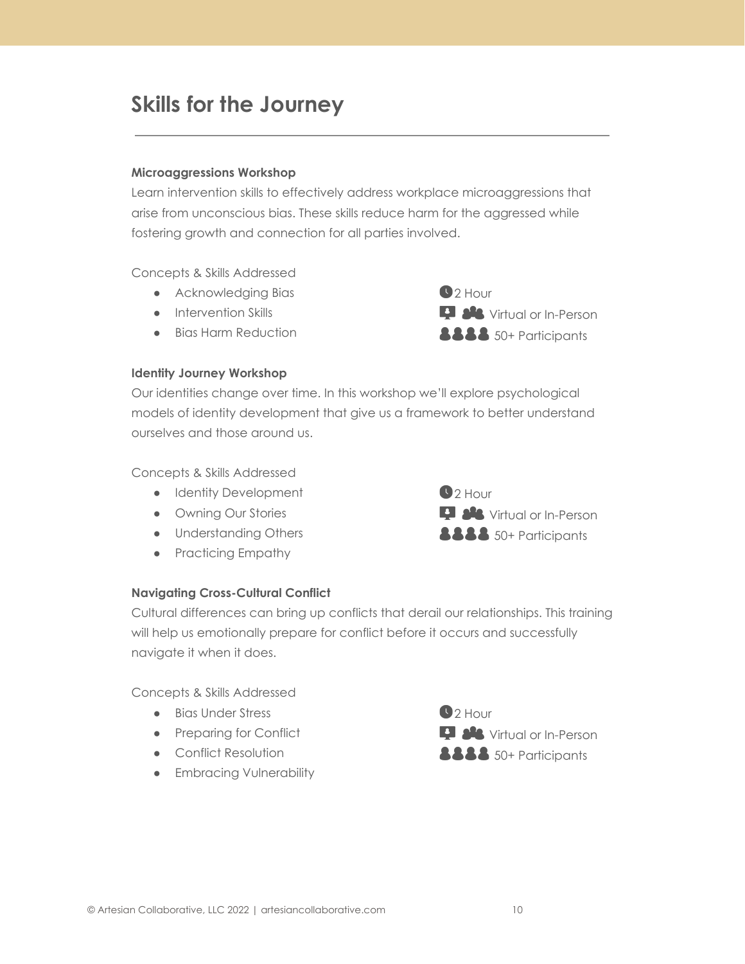### **Skills for the Journey**

#### **Microaggressions Workshop**

Learn intervention skills to effectively address workplace microaggressions that arise from unconscious bias. These skills reduce harm for the aggressed while fostering growth and connection for all parties involved.

Concepts & Skills Addressed

- Acknowledging Bias
- Intervention Skills
- Bias Harm Reduction

 $22$  Hour **D A** Virtual or In-Person **8888** 50+ Participants

#### **Identity Journey Workshop**

Our identities change over time. In this workshop we'll explore psychological models of identity development that give us a framework to better understand ourselves and those around us.

Concepts & Skills Addressed

- Identity Development
- Owning Our Stories
- Understanding Others
- Practicing Empathy



#### **Navigating Cross-Cultural Conflict**

Cultural differences can bring up conflicts that derail our relationships. This training will help us emotionally prepare for conflict before it occurs and successfully navigate it when it does.

Concepts & Skills Addressed

- Bias Under Stress
- Preparing for Conflict
- Conflict Resolution
- **•** Embracing Vulnerability

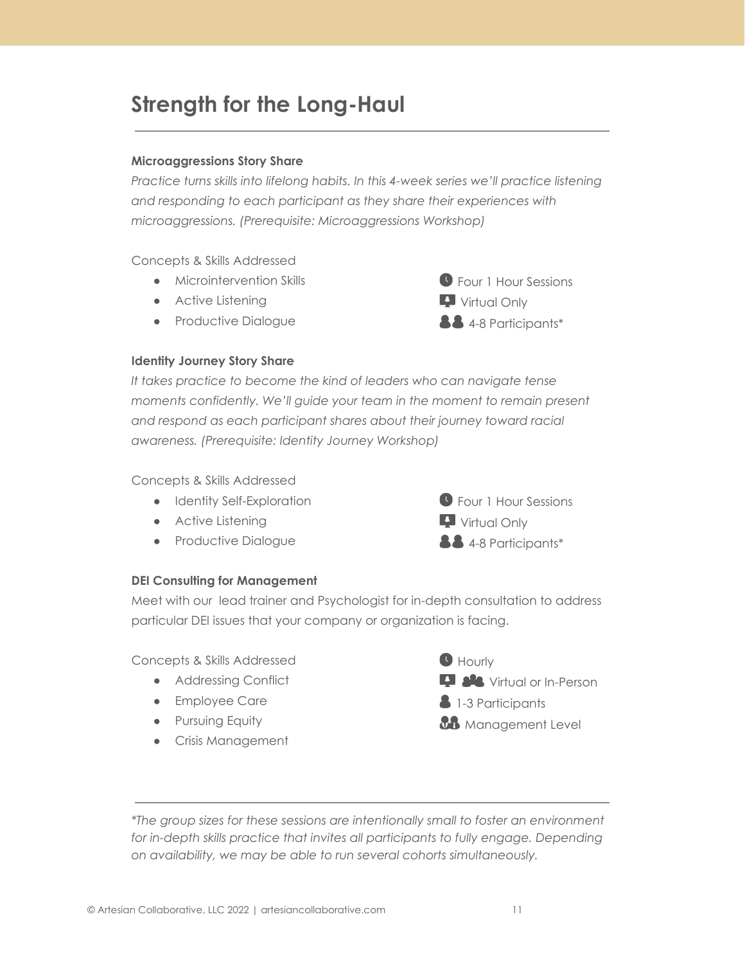### **Strength for the Long-Haul**

#### **Microaggressions Story Share**

*Practice turns skills into lifelong habits. In this 4-week series we'll practice listening and responding to each participant as they share their experiences with microaggressions. (Prerequisite: Microaggressions Workshop)*

Concepts & Skills Addressed

- Microintervention Skills
- Active Listening
- Productive Dialogue



#### **Identity Journey Story Share**

*It takes practice to become the kind of leaders who can navigate tense moments confidently. We'll guide your team in the moment to remain present and respond as each participant shares about their journey toward racial awareness. (Prerequisite: Identity Journey Workshop)*

Concepts & Skills Addressed

- Identity Self-Exploration
- Active Listening
- Productive Dialogue



#### **DEI Consulting for Management**

Meet with our lead trainer and Psychologist for in-depth consultation to address particular DEI issues that your company or organization is facing.

Concepts & Skills Addressed

- Addressing Conflict
- Employee Care
- **•** Pursuing Equity
- Crisis Management



*\*The group sizes for these sessions are intentionally small to foster an environment for in-depth skills practice that invites all participants to fully engage. Depending on availability, we may be able to run several cohorts simultaneously.*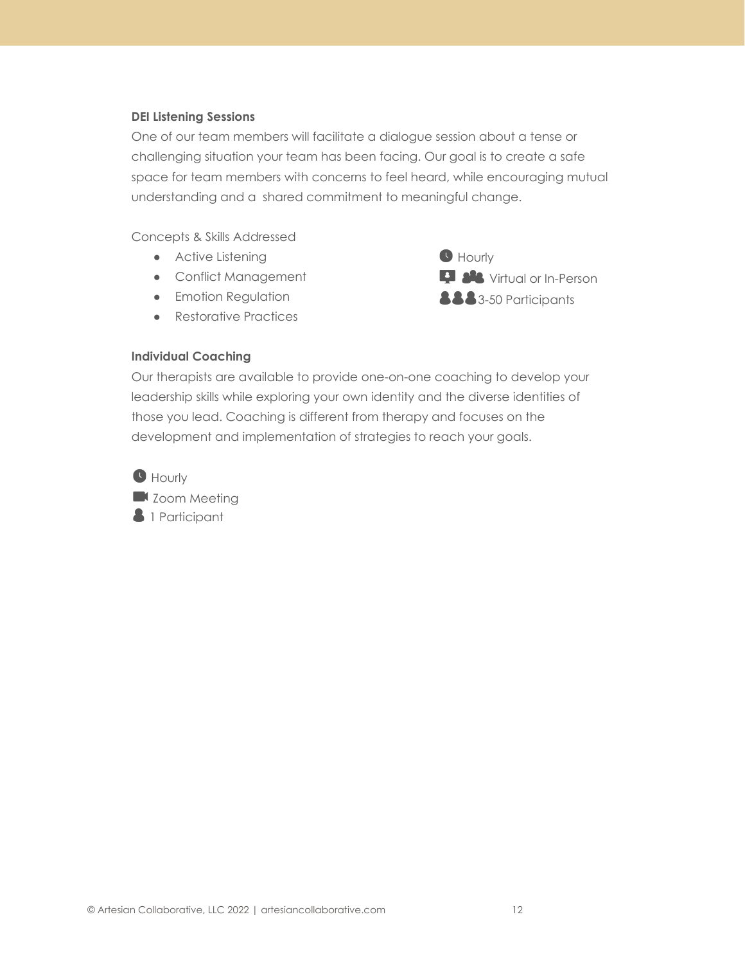#### **DEI Listening Sessions**

One of our team members will facilitate a dialogue session about a tense or challenging situation your team has been facing. Our goal is to create a safe space for team members with concerns to feel heard, while encouraging mutual understanding and a shared commitment to meaningful change.

Concepts & Skills Addressed

- Active Listening
- Conflict Management
- **•** Emotion Regulation
- Restorative Practices

**Hourly Language Set Virtual or In-Person 33-50 Participants** 

#### **Individual Coaching**

Our therapists are available to provide one-on-one coaching to develop your leadership skills while exploring your own identity and the diverse identities of those you lead. Coaching is different from therapy and focuses on the development and implementation of strategies to reach your goals.

**O** Hourly

**Zoom Meeting 8** 1 Participant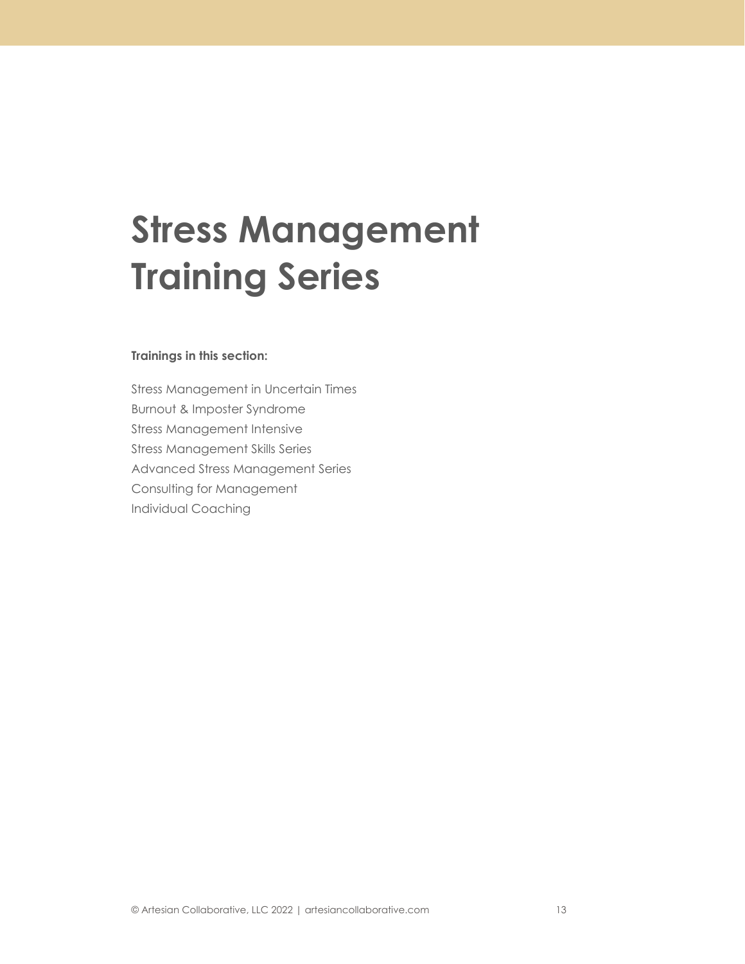## **Stress Management Training Series**

#### **Trainings in this section:**

Stress Management in Uncertain Times Burnout & Imposter Syndrome Stress Management Intensive Stress Management Skills Series Advanced Stress Management Series Consulting for Management Individual Coaching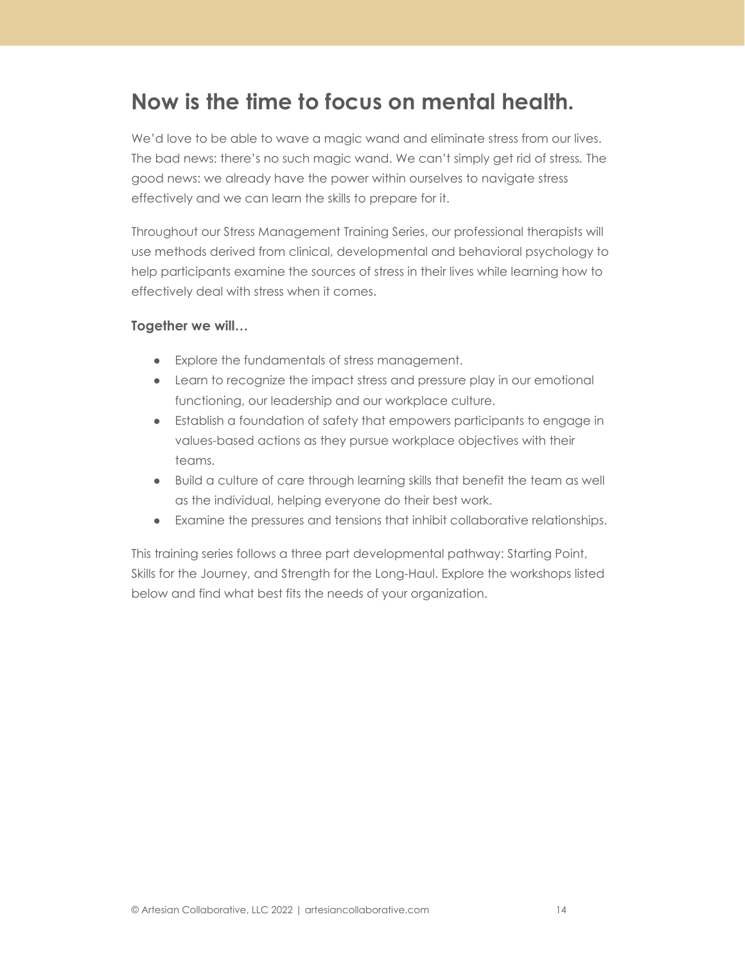### **Now is the time to focus on mental health.**

We'd love to be able to wave a magic wand and eliminate stress from our lives. The bad news: there's no such magic wand. We can't simply get rid of stress*.* The good news: we already have the power within ourselves to navigate stress effectively and we can learn the skills to prepare for it.

Throughout our Stress Management Training Series, our professional therapists will use methods derived from clinical, developmental and behavioral psychology to help participants examine the sources of stress in their lives while learning how to effectively deal with stress when it comes.

#### **Together we will…**

- Explore the fundamentals of stress management.
- Learn to recognize the impact stress and pressure play in our emotional functioning, our leadership and our workplace culture.
- Establish a foundation of safety that empowers participants to engage in values-based actions as they pursue workplace objectives with their teams.
- Build a culture of care through learning skills that benefit the team as well as the individual, helping everyone do their best work.
- Examine the pressures and tensions that inhibit collaborative relationships.

This training series follows a three part developmental pathway: Starting Point, Skills for the Journey, and Strength for the Long-Haul. Explore the workshops listed below and find what best fits the needs of your organization.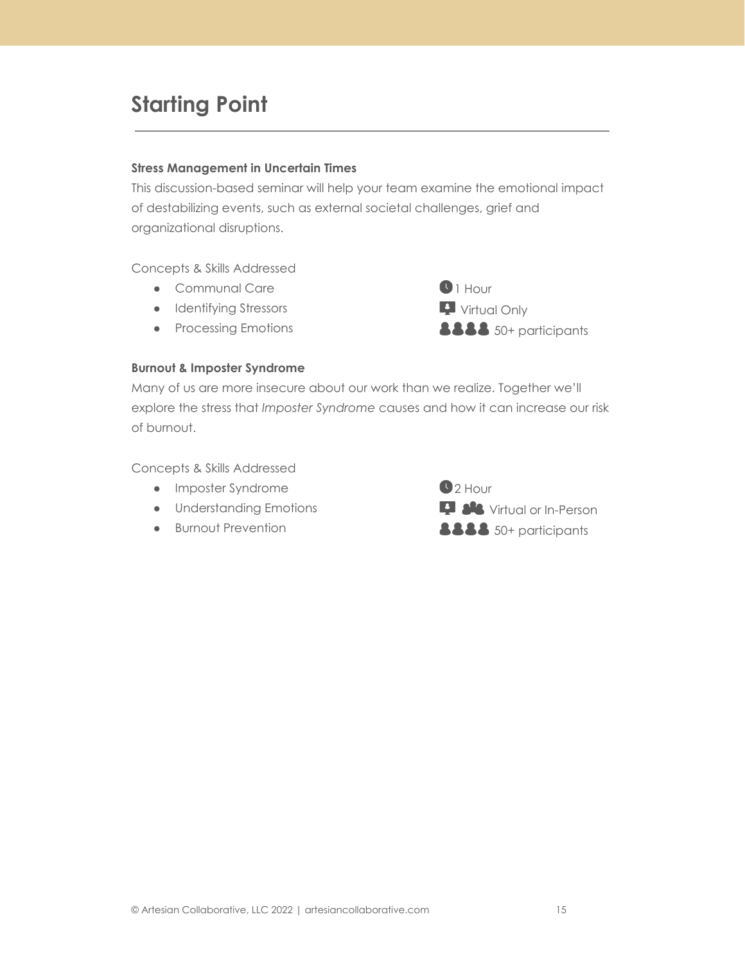### **Starting Point**

#### **Stress Management in Uncertain Times**

This discussion-based seminar will help your team examine the emotional impact of destabilizing events, such as external societal challenges, grief and organizational disruptions.

Concepts & Skills Addressed

- Communal Care
- Identifying Stressors
- Processing Emotions

 $\bigcirc$  1 Hour Virtual Only **8888** 50+ participants

#### **Burnout & Imposter Syndrome**

Many of us are more insecure about our work than we realize. Together we'll explore the stress that *Imposter Syndrome* causes and how it can increase our risk of burnout.

Concepts & Skills Addressed

- Imposter Syndrome
- Understanding Emotions
- Burnout Prevention

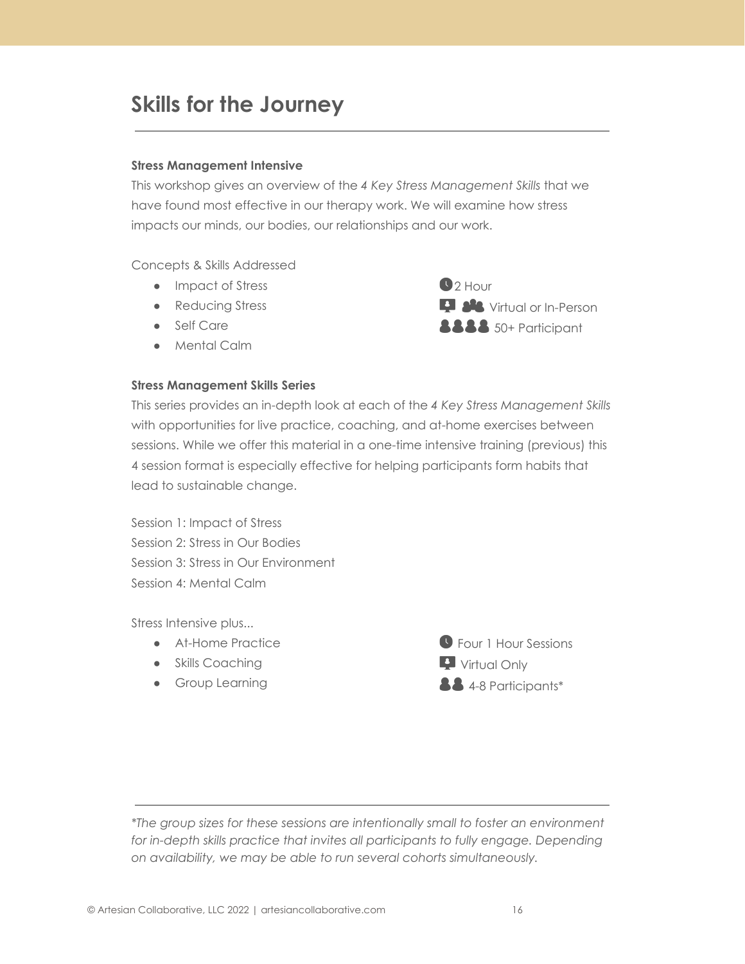### **Skills for the Journey**

#### **Stress Management Intensive**

This workshop gives an overview of the *4 Key Stress Management Skills* that we have found most effective in our therapy work. We will examine how stress impacts our minds, our bodies, our relationships and our work.

Concepts & Skills Addressed

- Impact of Stress
- Reducing Stress
- Self Care
- Mental Calm

#### **Stress Management Skills Series**

 $2$  Hour **D** AL Virtual or In-Person **8888** 50+ Participant

This series provides an in-depth look at each of the *4 Key Stress Management Skills* with opportunities for live practice, coaching, and at-home exercises between sessions. While we offer this material in a one-time intensive training (previous) this 4 session format is especially effective for helping participants form habits that lead to sustainable change.

Session 1: Impact of Stress Session 2: Stress in Our Bodies Session 3: Stress in Our Environment Session 4: Mental Calm

Stress Intensive plus...

- At-Home Practice
- Skills Coaching
- **•** Group Learning



*\*The group sizes for these sessions are intentionally small to foster an environment for in-depth skills practice that invites all participants to fully engage. Depending on availability, we may be able to run several cohorts simultaneously.*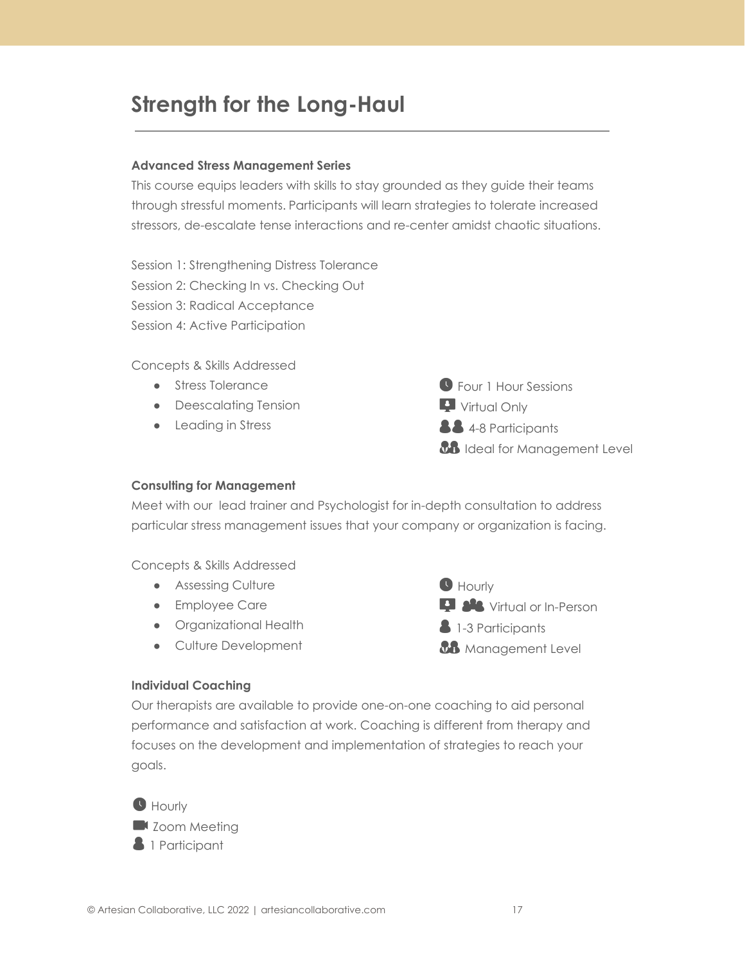### **Strength for the Long-Haul**

#### **Advanced Stress Management Series**

This course equips leaders with skills to stay grounded as they guide their teams through stressful moments. Participants will learn strategies to tolerate increased stressors, de-escalate tense interactions and re-center amidst chaotic situations.

Session 1: Strengthening Distress Tolerance Session 2: Checking In vs. Checking Out Session 3: Radical Acceptance Session 4: Active Participation

Concepts & Skills Addressed

- Stress Tolerance
- Deescalating Tension
- Leading in Stress



#### **Consulting for Management**

Meet with our lead trainer and Psychologist for in-depth consultation to address particular stress management issues that your company or organization is facing.

Concepts & Skills Addressed

- Assessing Culture
- Employee Care
- Organizational Health
- Culture Development



#### **Individual Coaching**

Our therapists are available to provide one-on-one coaching to aid personal performance and satisfaction at work. Coaching is different from therapy and focuses on the development and implementation of strategies to reach your goals.

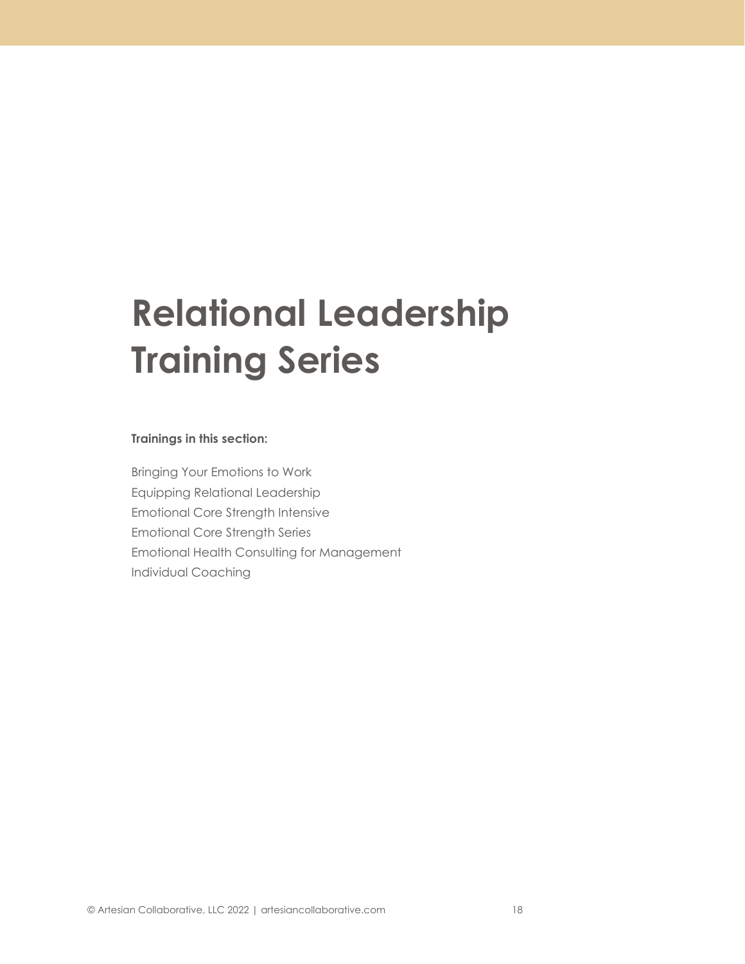## **Relational Leadership Training Series**

#### **Trainings in this section:**

Bringing Your Emotions to Work Equipping Relational Leadership Emotional Core Strength Intensive Emotional Core Strength Series Emotional Health Consulting for Management Individual Coaching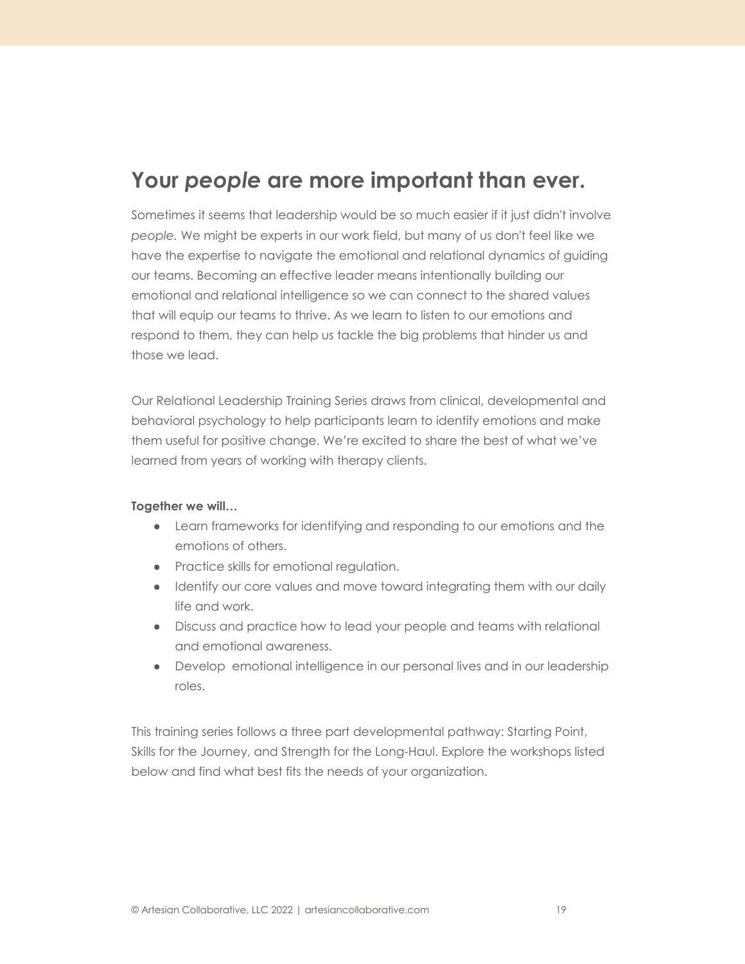### **Your** *people* **are more important than ever.**

Sometimes it seems that leadership would be so much easier if it just didn't involve *people.* We might be experts in our work field, but many of us don't feel like we have the expertise to navigate the emotional and relational dynamics of guiding our teams. Becoming an effective leader means intentionally building our emotional and relational intelligence so we can connect to the shared values that will equip our teams to thrive. As we learn to listen to our emotions and respond to them, they can help us tackle the big problems that hinder us and those we lead.

Our Relational Leadership Training Series draws from clinical, developmental and behavioral psychology to help participants learn to identify emotions and make them useful for positive change. We're excited to share the best of what we've learned from years of working with therapy clients.

#### **Together we will…**

- Learn frameworks for identifying and responding to our emotions and the emotions of others.
- Practice skills for emotional regulation.
- Identify our core values and move toward integrating them with our daily life and work.
- Discuss and practice how to lead your people and teams with relational and emotional awareness.
- Develop emotional intelligence in our personal lives and in our leadership roles.

This training series follows a three part developmental pathway: Starting Point, Skills for the Journey, and Strength for the Long-Haul. Explore the workshops listed below and find what best fits the needs of your organization.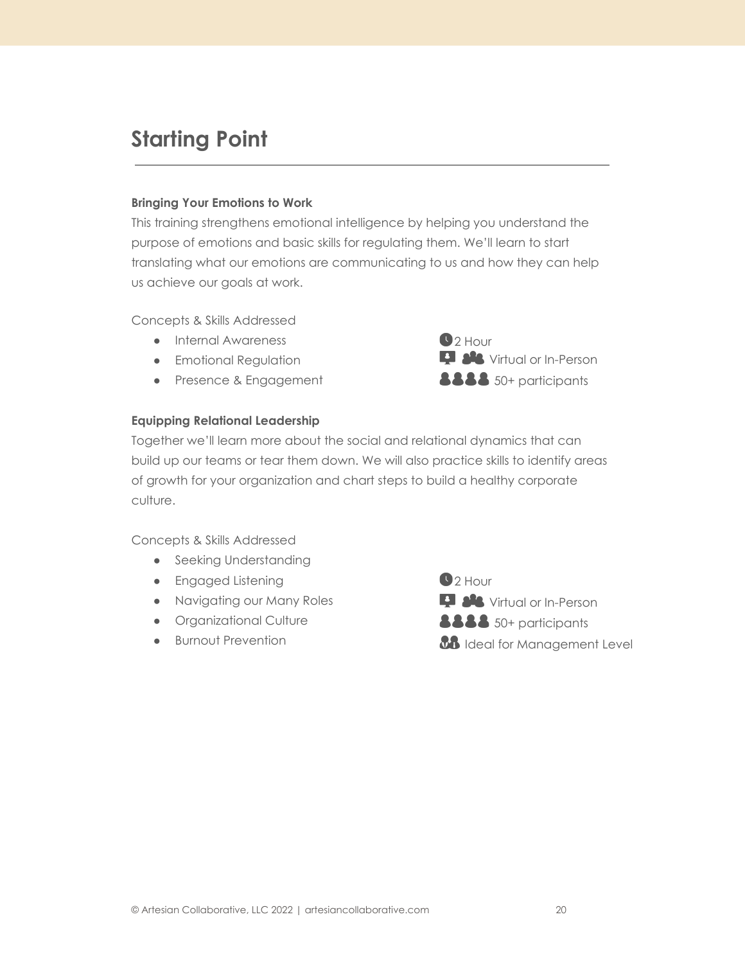### **Starting Point**

#### **Bringing Your Emotions to Work**

This training strengthens emotional intelligence by helping you understand the purpose of emotions and basic skills for regulating them. We'll learn to start translating what our emotions are communicating to us and how they can help us achieve our goals at work.

Concepts & Skills Addressed

- Internal Awareness
- **•** Emotional Regulation
- Presence & Engagement



#### **Equipping Relational Leadership**

Together we'll learn more about the social and relational dynamics that can build up our teams or tear them down. We will also practice skills to identify areas of growth for your organization and chart steps to build a healthy corporate culture.

Concepts & Skills Addressed

- Seeking Understanding
- Engaged Listening
- Navigating our Many Roles
- **•** Organizational Culture
- Burnout Prevention

 $22$  Hour **Language Set Virtual or In-Person 8888** 50+ participants *BB* Ideal for Management Level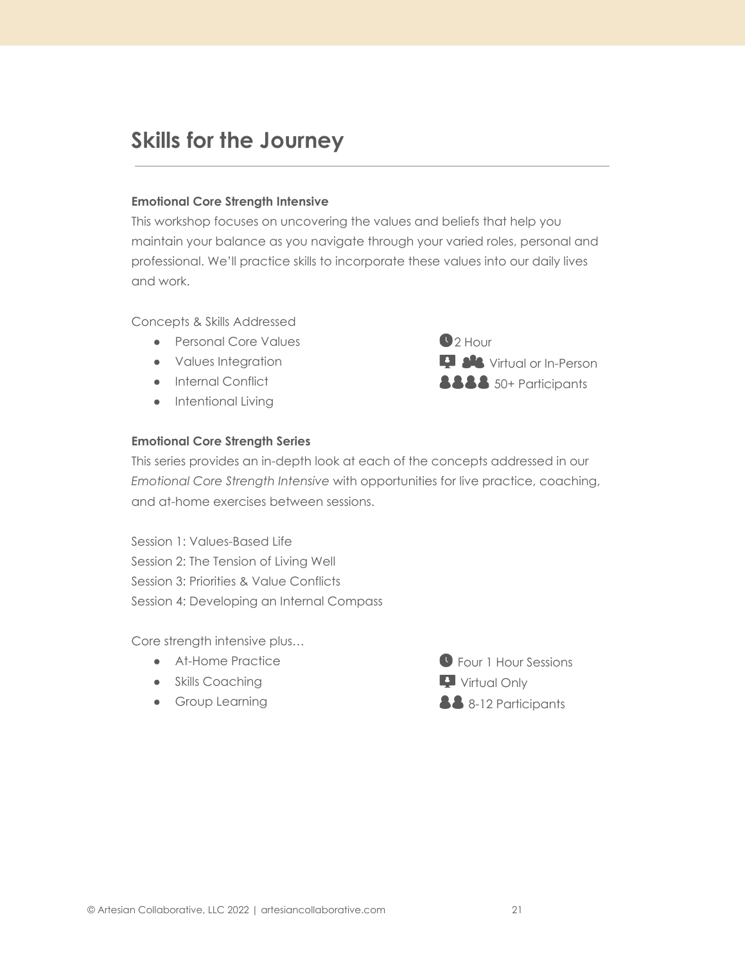### **Skills for the Journey**

#### **Emotional Core Strength Intensive**

This workshop focuses on uncovering the values and beliefs that help you maintain your balance as you navigate through your varied roles, personal and professional. We'll practice skills to incorporate these values into our daily lives and work.

Concepts & Skills Addressed

- Personal Core Values
- Values Integration
- Internal Conflict
- Intentional Living

 $\bigcirc$  2 Hour **D AL** Virtual or In-Person **8888** 50+ Participants

#### **Emotional Core Strength Series**

This series provides an in-depth look at each of the concepts addressed in our *Emotional Core Strength Intensive* with opportunities for live practice, coaching, and at-home exercises between sessions.

Session 1: Values-Based Life Session 2: The Tension of Living Well Session 3: Priorities & Value Conflicts Session 4: Developing an Internal Compass

Core strength intensive plus…

- At-Home Practice
- Skills Coaching
- **•** Group Learning

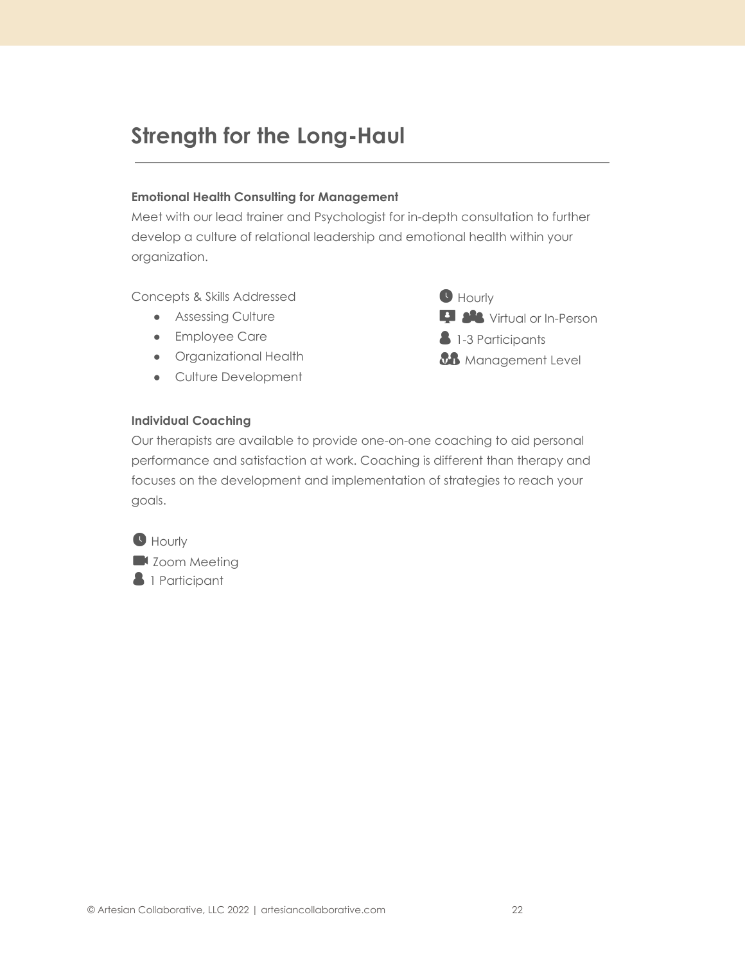### **Strength for the Long-Haul**

#### **Emotional Health Consulting for Management**

Meet with our lead trainer and Psychologist for in-depth consultation to further develop a culture of relational leadership and emotional health within your organization.

Concepts & Skills Addressed

- Assessing Culture
- Employee Care
- Organizational Health
- Culture Development



#### **Individual Coaching**

Our therapists are available to provide one-on-one coaching to aid personal performance and satisfaction at work. Coaching is different than therapy and focuses on the development and implementation of strategies to reach your goals.

**Hourly X** Zoom Meeting **1** Participant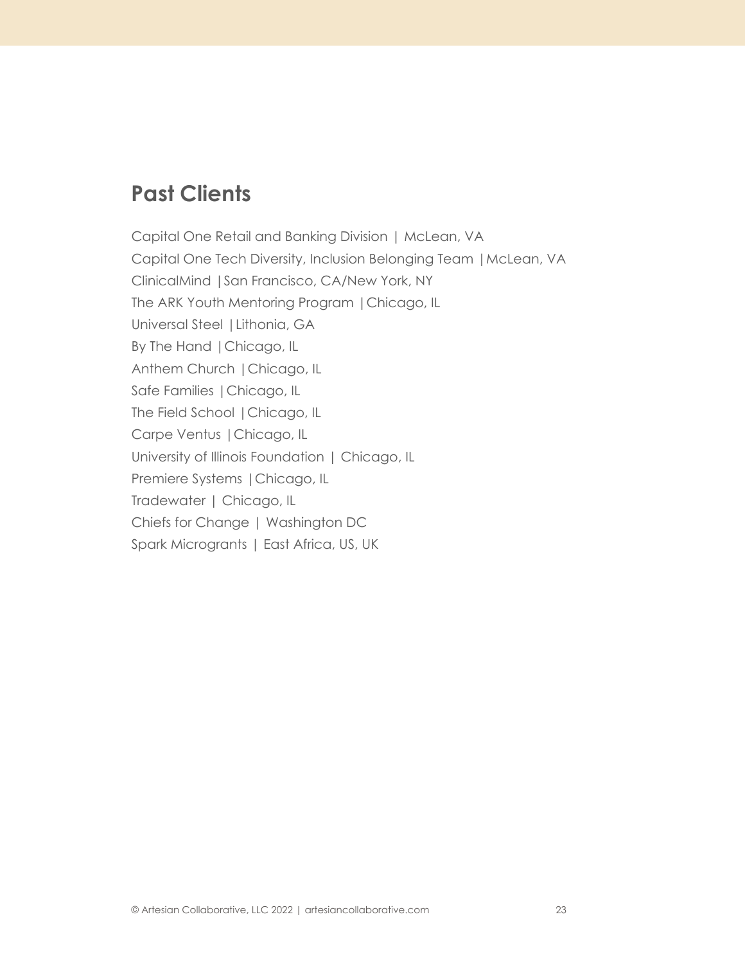### **Past Clients**

Capital One Retail and Banking Division | McLean, VA Capital One Tech Diversity, Inclusion Belonging Team |McLean, VA ClinicalMind |San Francisco, CA/New York, NY The ARK Youth Mentoring Program |Chicago, IL Universal Steel |Lithonia, GA By The Hand |Chicago, IL Anthem Church |Chicago, IL Safe Families |Chicago, IL The Field School |Chicago, IL Carpe Ventus |Chicago, IL University of Illinois Foundation | Chicago, IL Premiere Systems |Chicago, IL Tradewater | Chicago, IL Chiefs for Change | Washington DC Spark Microgrants | East Africa, US, UK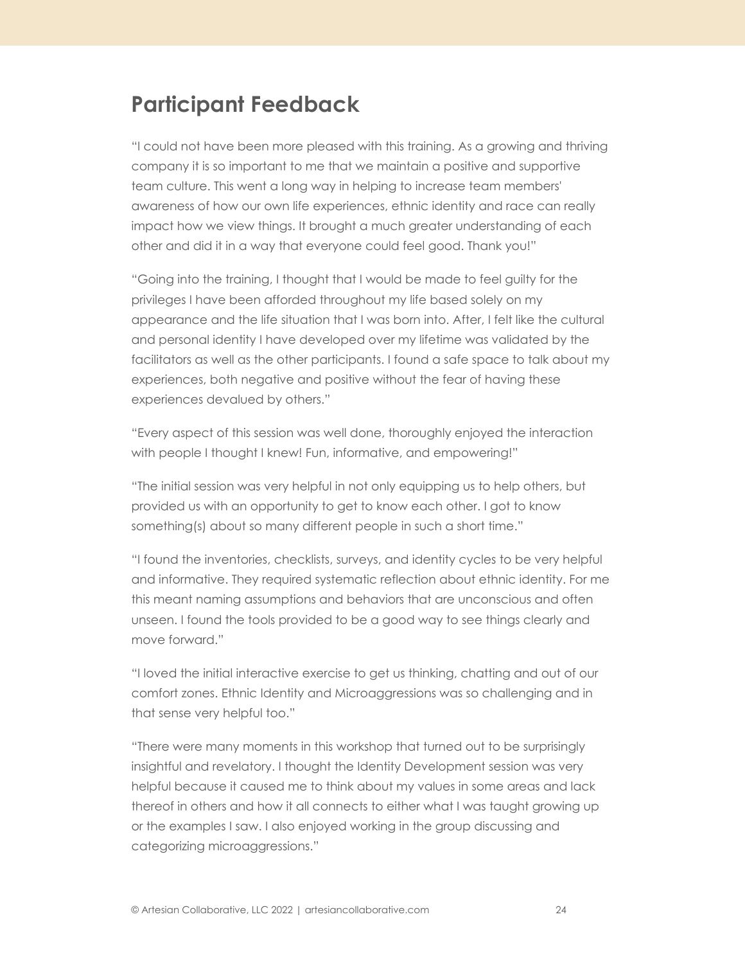### **Participant Feedback**

"I could not have been more pleased with this training. As a growing and thriving company it is so important to me that we maintain a positive and supportive team culture. This went a long way in helping to increase team members' awareness of how our own life experiences, ethnic identity and race can really impact how we view things. It brought a much greater understanding of each other and did it in a way that everyone could feel good. Thank you!"

"Going into the training, I thought that I would be made to feel guilty for the privileges I have been afforded throughout my life based solely on my appearance and the life situation that I was born into. After, I felt like the cultural and personal identity I have developed over my lifetime was validated by the facilitators as well as the other participants. I found a safe space to talk about my experiences, both negative and positive without the fear of having these experiences devalued by others."

"Every aspect of this session was well done, thoroughly enjoyed the interaction with people I thought I knew! Fun, informative, and empowering!"

"The initial session was very helpful in not only equipping us to help others, but provided us with an opportunity to get to know each other. I got to know something(s) about so many different people in such a short time."

"I found the inventories, checklists, surveys, and identity cycles to be very helpful and informative. They required systematic reflection about ethnic identity. For me this meant naming assumptions and behaviors that are unconscious and often unseen. I found the tools provided to be a good way to see things clearly and move forward."

"I loved the initial interactive exercise to get us thinking, chatting and out of our comfort zones. Ethnic Identity and Microaggressions was so challenging and in that sense very helpful too."

"There were many moments in this workshop that turned out to be surprisingly insightful and revelatory. I thought the Identity Development session was very helpful because it caused me to think about my values in some areas and lack thereof in others and how it all connects to either what I was taught growing up or the examples I saw. I also enjoyed working in the group discussing and categorizing microaggressions."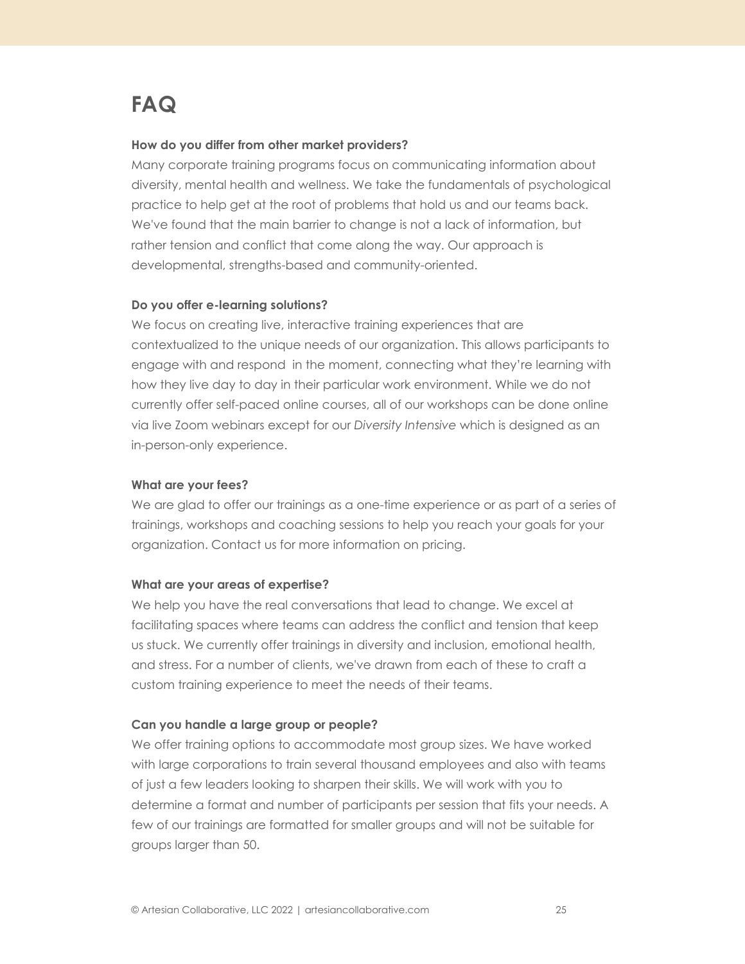### **FAQ**

#### **How do you differ from other market providers?**

Many corporate training programs focus on communicating information about diversity, mental health and wellness. We take the fundamentals of psychological practice to help get at the root of problems that hold us and our teams back. We've found that the main barrier to change is not a lack of information, but rather tension and conflict that come along the way. Our approach is developmental, strengths-based and community-oriented.

#### **Do you offer e-learning solutions?**

We focus on creating live, interactive training experiences that are contextualized to the unique needs of our organization. This allows participants to engage with and respond in the moment, connecting what they're learning with how they live day to day in their particular work environment. While we do not currently offer self-paced online courses, all of our workshops can be done online via live Zoom webinars except for our *Diversity Intensive* which is designed as an in-person-only experience.

#### **What are your fees?**

We are glad to offer our trainings as a one-time experience or as part of a series of trainings, workshops and coaching sessions to help you reach your goals for your organization. Contact us for more information on pricing.

#### **What are your areas of expertise?**

We help you have the real conversations that lead to change. We excel at facilitating spaces where teams can address the conflict and tension that keep us stuck. We currently offer trainings in diversity and inclusion, emotional health, and stress. For a number of clients, we've drawn from each of these to craft a custom training experience to meet the needs of their teams.

#### **Can you handle a large group or people?**

We offer training options to accommodate most group sizes. We have worked with large corporations to train several thousand employees and also with teams of just a few leaders looking to sharpen their skills. We will work with you to determine a format and number of participants per session that fits your needs. A few of our trainings are formatted for smaller groups and will not be suitable for groups larger than 50.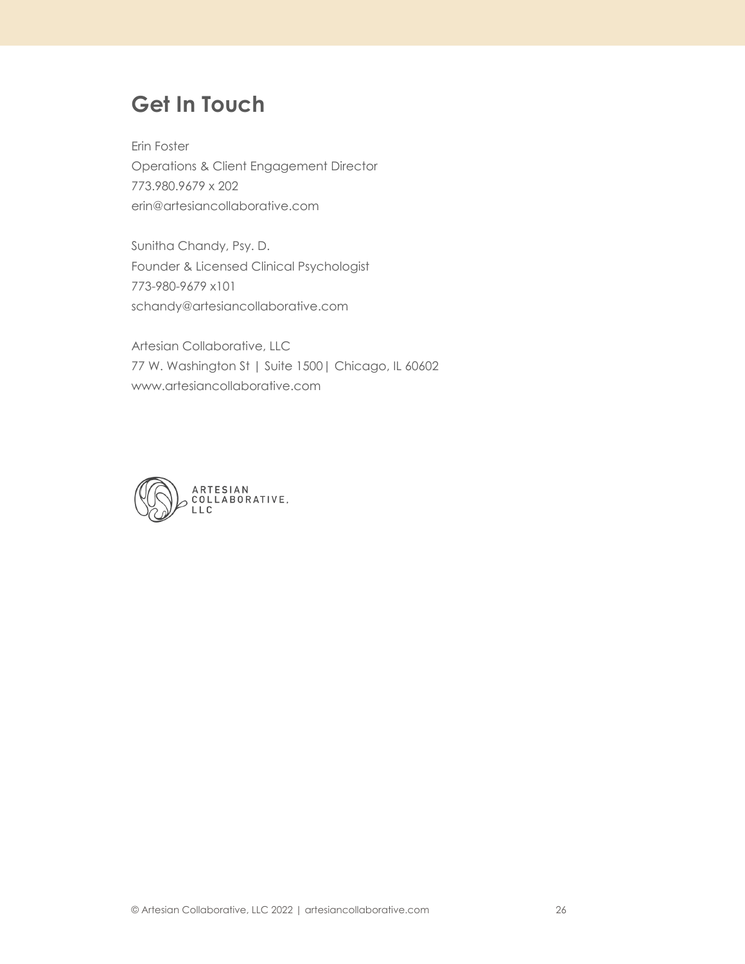### **Get In Touch**

Erin Foster Operations & Client Engagement Director 773.980.9679 x 202 [erin@artesiancollaborative.com](mailto:erin@artesiancollaborative.com)

Sunitha Chandy, Psy. D. Founder & Licensed Clinical Psychologist 773-980-9679 x101 [schandy@artesiancollaborative.com](mailto:schandy@artesiancollaborative.com)

Artesian Collaborative, LLC 77 W. Washington St | Suite 1500| Chicago, IL 60602 [www.artesiancollaborative.com](http://www.artesiancollaborative.com)